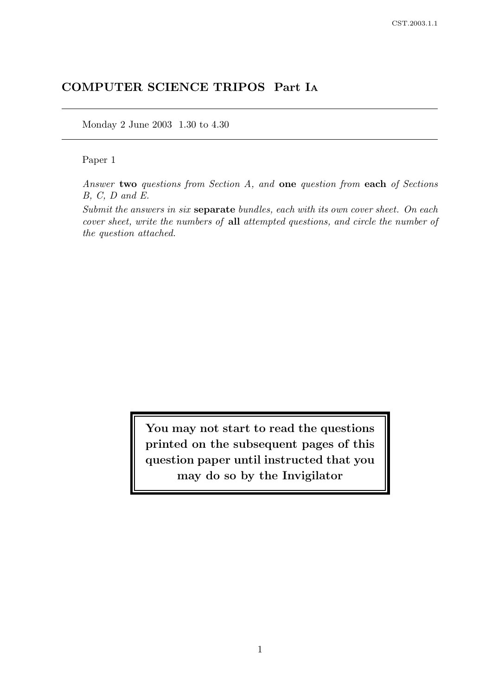# COMPUTER SCIENCE TRIPOS Part I<sup>A</sup>

Monday 2 June 2003 1.30 to 4.30

### Paper 1

Answer two questions from Section A, and one question from each of Sections B, C, D and E.

Submit the answers in six separate bundles, each with its own cover sheet. On each cover sheet, write the numbers of all attempted questions, and circle the number of the question attached.

> You may not start to read the questions printed on the subsequent pages of this question paper until instructed that you may do so by the Invigilator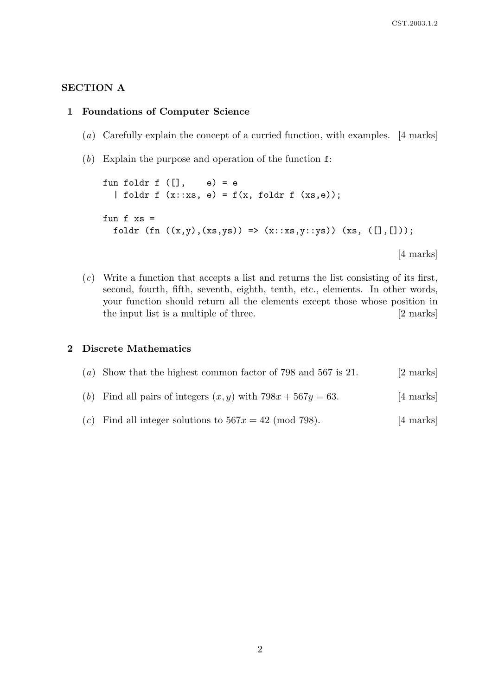### SECTION A

#### 1 Foundations of Computer Science

- (a) Carefully explain the concept of a curried function, with examples. [4 marks]
- (b) Explain the purpose and operation of the function  $f$ :

```
fun foldr f ([] , e) = e
| foldr f (x::xs, e) = f(x, foldr f (xs, e));fun f xs =foldr (fn ((x,y),(xs,ys)) \Rightarrow (x::xs,y::ys)) (xs, ([], []));
                                                           [4 marks]
```
 $(c)$  Write a function that accepts a list and returns the list consisting of its first, second, fourth, fifth, seventh, eighth, tenth, etc., elements. In other words, your function should return all the elements except those whose position in the input list is a multiple of three. [2 marks]

### 2 Discrete Mathematics

|  |  | (a) Show that the highest common factor of 798 and 567 is 21. |  | [2 marks] |
|--|--|---------------------------------------------------------------|--|-----------|
|--|--|---------------------------------------------------------------|--|-----------|

- (b) Find all pairs of integers  $(x, y)$  with  $798x + 567y = 63$ . [4 marks]
- (c) Find all integer solutions to  $567x = 42 \pmod{798}$ . [4 marks]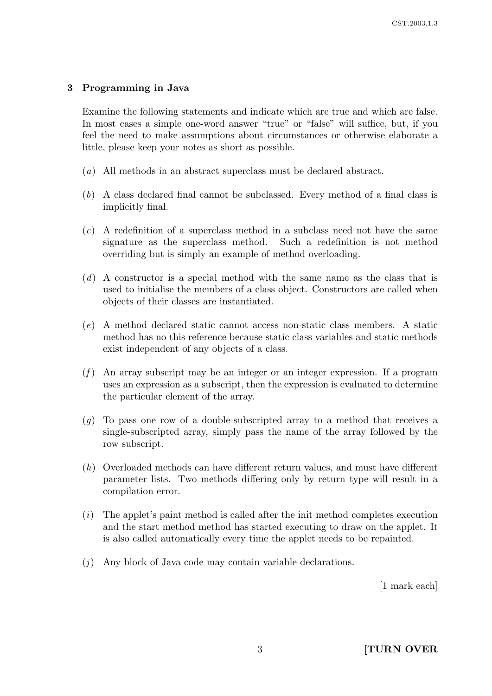#### 3 Programming in Java

Examine the following statements and indicate which are true and which are false. In most cases a simple one-word answer "true" or "false" will suffice, but, if you feel the need to make assumptions about circumstances or otherwise elaborate a little, please keep your notes as short as possible.

- (a) All methods in an abstract superclass must be declared abstract.
- (b) A class declared final cannot be subclassed. Every method of a final class is implicitly final.
- $(c)$  A redefinition of a superclass method in a subclass need not have the same signature as the superclass method. Such a redefinition is not method overriding but is simply an example of method overloading.
- (d) A constructor is a special method with the same name as the class that is used to initialise the members of a class object. Constructors are called when objects of their classes are instantiated.
- (e) A method declared static cannot access non-static class members. A static method has no this reference because static class variables and static methods exist independent of any objects of a class.
- $(f)$  An array subscript may be an integer or an integer expression. If a program uses an expression as a subscript, then the expression is evaluated to determine the particular element of the array.
- $(q)$  To pass one row of a double-subscripted array to a method that receives a single-subscripted array, simply pass the name of the array followed by the row subscript.
- (h) Overloaded methods can have different return values, and must have different parameter lists. Two methods differing only by return type will result in a compilation error.
- (i) The applet's paint method is called after the init method completes execution and the start method method has started executing to draw on the applet. It is also called automatically every time the applet needs to be repainted.
- (j) Any block of Java code may contain variable declarations.

[1 mark each]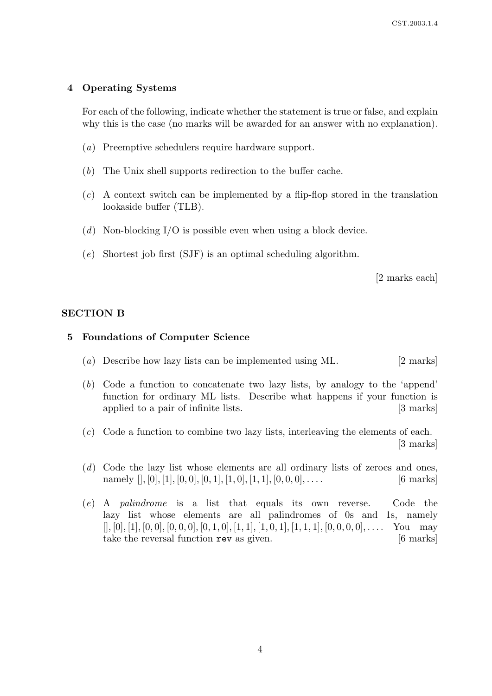#### 4 Operating Systems

For each of the following, indicate whether the statement is true or false, and explain why this is the case (no marks will be awarded for an answer with no explanation).

- (a) Preemptive schedulers require hardware support.
- (b) The Unix shell supports redirection to the buffer cache.
- (c) A context switch can be implemented by a flip-flop stored in the translation lookaside buffer (TLB).
- (d) Non-blocking I/O is possible even when using a block device.
- (e) Shortest job first (SJF) is an optimal scheduling algorithm.

[2 marks each]

#### SECTION B

#### 5 Foundations of Computer Science

- (a) Describe how lazy lists can be implemented using ML. [2 marks]
- (b) Code a function to concatenate two lazy lists, by analogy to the 'append' function for ordinary ML lists. Describe what happens if your function is applied to a pair of infinite lists. [3 marks]
- (c) Code a function to combine two lazy lists, interleaving the elements of each. [3 marks]
- (d) Code the lazy list whose elements are all ordinary lists of zeroes and ones, namely  $[|, [0], [1], [0, 0], [0, 1], [1, 0], [1, 1], [0, 0, 0], \ldots$  [6 marks]
- (e) A palindrome is a list that equals its own reverse. Code the lazy list whose elements are all palindromes of 0s and 1s, namely  $[], [0], [1], [0, 0], [0, 0, 0], [0, 1, 0], [1, 1], [1, 0, 1], [1, 1, 1], [0, 0, 0, 0], \ldots$  You may take the reversal function rev as given. [6 marks]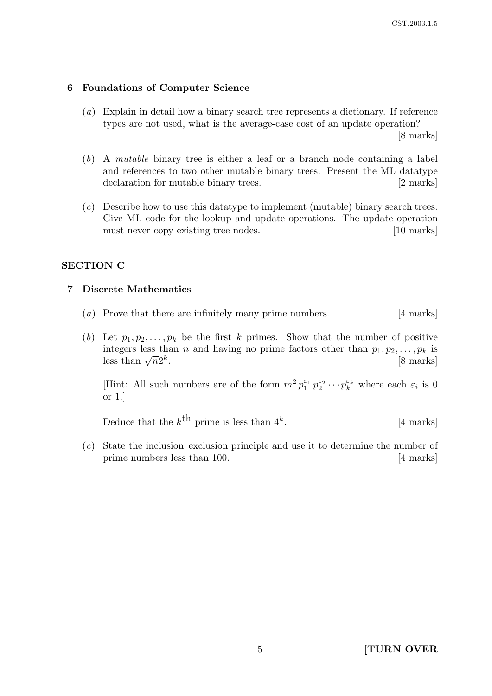#### 6 Foundations of Computer Science

(a) Explain in detail how a binary search tree represents a dictionary. If reference types are not used, what is the average-case cost of an update operation?

[8 marks]

- (b) A mutable binary tree is either a leaf or a branch node containing a label and references to two other mutable binary trees. Present the ML datatype declaration for mutable binary trees. [2 marks]
- (c) Describe how to use this datatype to implement (mutable) binary search trees. Give ML code for the lookup and update operations. The update operation must never copy existing tree nodes. [10 marks]

#### SECTION C

#### 7 Discrete Mathematics

- (a) Prove that there are infinitely many prime numbers. [4 marks]
- (b) Let  $p_1, p_2, \ldots, p_k$  be the first k primes. Show that the number of positive integers less than n and having no prime factors other than  $p_1, p_2, \ldots, p_k$  is less than  $\sqrt{n}2^k$ . [8 marks]

[Hint: All such numbers are of the form  $m^2 p_1^{\varepsilon_1} p_2^{\varepsilon_2} \cdots p_k^{\varepsilon_k}$  $\mathcal{E}_k^{\varepsilon_k}$  where each  $\varepsilon_i$  is 0 or 1.]

Deduce that the  $k^{\text{th}}$  prime is less than  $4^k$ . [4 marks]

(c) State the inclusion–exclusion principle and use it to determine the number of prime numbers less than 100. [4 marks]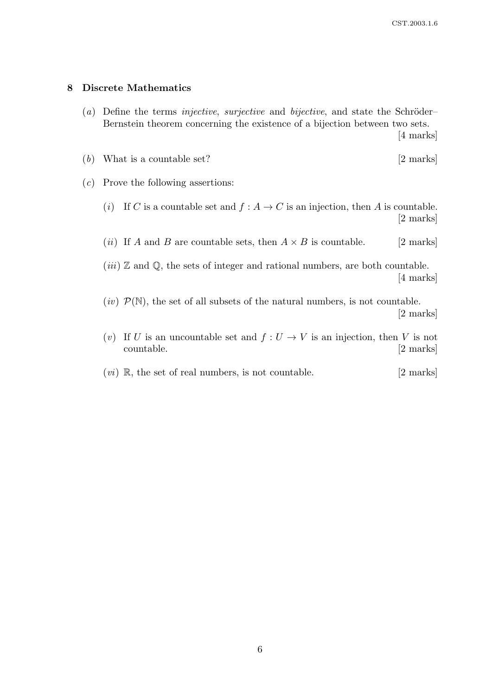#### 8 Discrete Mathematics

(a) Define the terms *injective*, *surjective* and *bijective*, and state the Schröder– Bernstein theorem concerning the existence of a bijection between two sets.

[4 marks]

- (b) What is a countable set?  $[2 \text{ marks}]$
- (c) Prove the following assertions:
	- (i) If C is a countable set and  $f : A \to C$  is an injection, then A is countable. [2 marks]
	- (*ii*) If A and B are countable sets, then  $A \times B$  is countable. [2 marks]
	- $(iii)$  Z and Q, the sets of integer and rational numbers, are both countable. [4 marks]
	- $(iv)$   $\mathcal{P}(\mathbb{N})$ , the set of all subsets of the natural numbers, is not countable. [2 marks]
	- (v) If U is an uncountable set and  $f: U \to V$  is an injection, then V is not countable. [2 marks]
	- $(vi)$  R, the set of real numbers, is not countable. [2 marks]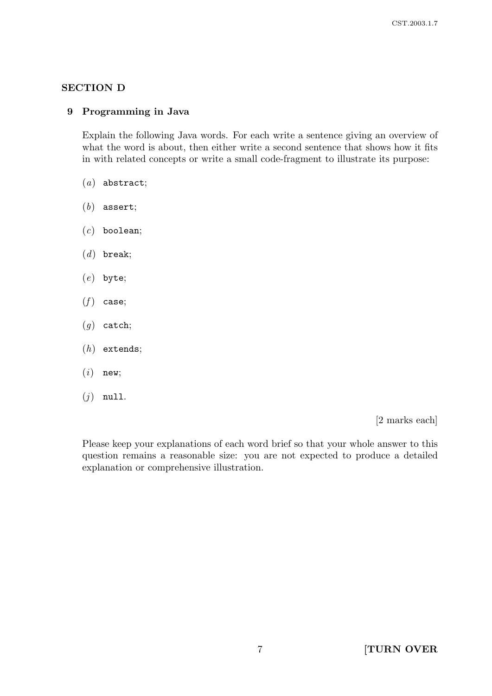## SECTION D

## 9 Programming in Java

Explain the following Java words. For each write a sentence giving an overview of what the word is about, then either write a second sentence that shows how it fits in with related concepts or write a small code-fragment to illustrate its purpose:

- $(a)$  abstract;
- $(b)$  assert;
- $(c)$  boolean;
- $(d)$  break;
- (e) byte;
- $(f)$  case;
- $(g)$  catch;
- $(h)$  extends;
- $(i)$  new;
- $(j)$  null.

[2 marks each]

Please keep your explanations of each word brief so that your whole answer to this question remains a reasonable size: you are not expected to produce a detailed explanation or comprehensive illustration.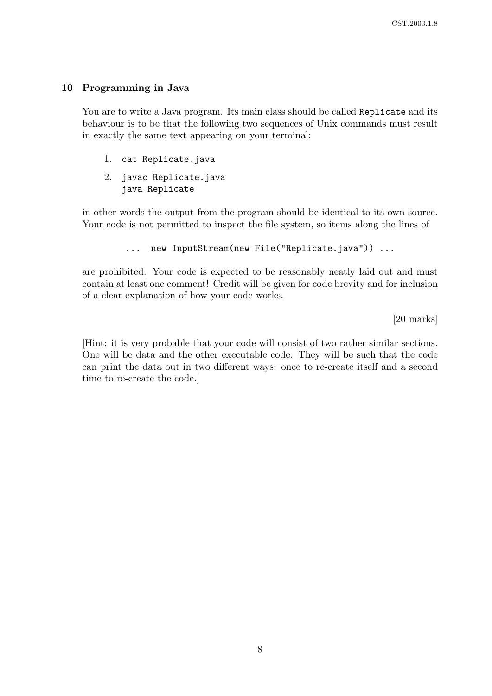#### 10 Programming in Java

You are to write a Java program. Its main class should be called Replicate and its behaviour is to be that the following two sequences of Unix commands must result in exactly the same text appearing on your terminal:

- 1. cat Replicate.java
- 2. javac Replicate.java java Replicate

in other words the output from the program should be identical to its own source. Your code is not permitted to inspect the file system, so items along the lines of

```
... new InputStream(new File("Replicate.java")) ...
```
are prohibited. Your code is expected to be reasonably neatly laid out and must contain at least one comment! Credit will be given for code brevity and for inclusion of a clear explanation of how your code works.

[20 marks]

[Hint: it is very probable that your code will consist of two rather similar sections. One will be data and the other executable code. They will be such that the code can print the data out in two different ways: once to re-create itself and a second time to re-create the code.]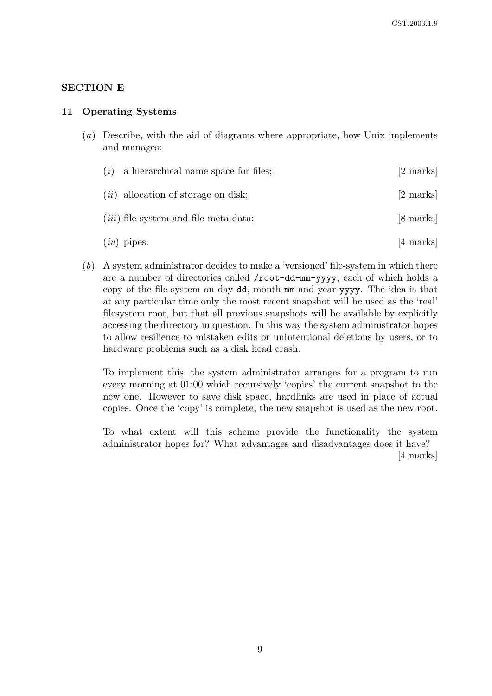### SECTION E

#### 11 Operating Systems

(a) Describe, with the aid of diagrams where appropriate, how Unix implements and manages:

| $(i)$ a hierarchical name space for files; | [2 marks]           |
|--------------------------------------------|---------------------|
| $(ii)$ allocation of storage on disk;      | $[2 \text{ marks}]$ |
| $(iii)$ file-system and file meta-data;    | $[8 \text{ marks}]$ |
| $(iv)$ pipes.                              | [4 marks]           |

(b) A system administrator decides to make a 'versioned' file-system in which there are a number of directories called /root-dd-mm-yyyy, each of which holds a copy of the file-system on day dd, month mm and year yyyy. The idea is that at any particular time only the most recent snapshot will be used as the 'real' filesystem root, but that all previous snapshots will be available by explicitly accessing the directory in question. In this way the system administrator hopes to allow resilience to mistaken edits or unintentional deletions by users, or to hardware problems such as a disk head crash.

To implement this, the system administrator arranges for a program to run every morning at 01:00 which recursively 'copies' the current snapshot to the new one. However to save disk space, hardlinks are used in place of actual copies. Once the 'copy' is complete, the new snapshot is used as the new root.

To what extent will this scheme provide the functionality the system administrator hopes for? What advantages and disadvantages does it have?

[4 marks]